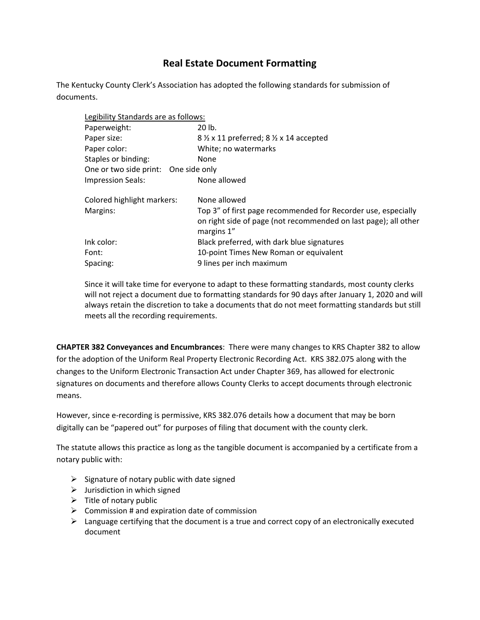## **Real Estate Document Formatting**

The Kentucky County Clerk's Association has adopted the following standards for submission of documents.

| Legibility Standards are as follows:                                          |  |
|-------------------------------------------------------------------------------|--|
| 20 lb.                                                                        |  |
| 8 1/2 x 11 preferred; 8 1/2 x 14 accepted                                     |  |
| White; no watermarks                                                          |  |
| None                                                                          |  |
| One or two side print: One side only                                          |  |
| None allowed                                                                  |  |
| None allowed                                                                  |  |
| Top 3" of first page recommended for Recorder use, especially                 |  |
| on right side of page (not recommended on last page); all other<br>margins 1" |  |
| Black preferred, with dark blue signatures                                    |  |
| 10-point Times New Roman or equivalent                                        |  |
| 9 lines per inch maximum                                                      |  |
|                                                                               |  |

Since it will take time for everyone to adapt to these formatting standards, most county clerks will not reject a document due to formatting standards for 90 days after January 1, 2020 and will always retain the discretion to take a documents that do not meet formatting standards but still meets all the recording requirements.

**CHAPTER 382 Conveyances and Encumbrances**: There were many changes to KRS Chapter 382 to allow for the adoption of the Uniform Real Property Electronic Recording Act. KRS 382.075 along with the changes to the Uniform Electronic Transaction Act under Chapter 369, has allowed for electronic signatures on documents and therefore allows County Clerks to accept documents through electronic means.

However, since e-recording is permissive, KRS 382.076 details how a document that may be born digitally can be "papered out" for purposes of filing that document with the county clerk.

The statute allows this practice as long as the tangible document is accompanied by a certificate from a notary public with:

- $\triangleright$  Signature of notary public with date signed
- $\triangleright$  Jurisdiction in which signed
- $\triangleright$  Title of notary public
- $\triangleright$  Commission # and expiration date of commission
- $\triangleright$  Language certifying that the document is a true and correct copy of an electronically executed document